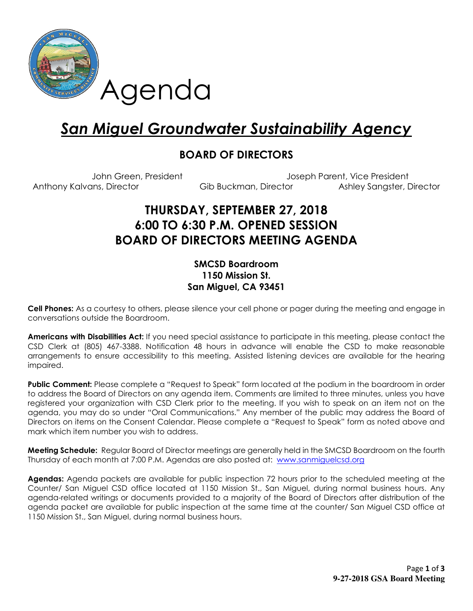

# San Miguel Groundwater Sustainability Agency

### BOARD OF DIRECTORS

John Green, President Joseph Parent, Vice President Anthony Kalvans, Director **Gib Buckman, Director** Ashley Sangster, Director

# THURSDAY, SEPTEMBER 27, 2018 6:00 TO 6:30 P.M. OPENED SESSION BOARD OF DIRECTORS MEETING AGENDA

#### SMCSD Boardroom 1150 Mission St. San Miguel, CA 93451

Cell Phones: As a courtesy to others, please silence your cell phone or pager during the meeting and engage in conversations outside the Boardroom.

Americans with Disabilities Act: If you need special assistance to participate in this meeting, please contact the CSD Clerk at (805) 467-3388. Notification 48 hours in advance will enable the CSD to make reasonable arrangements to ensure accessibility to this meeting. Assisted listening devices are available for the hearing impaired.

**Public Comment:** Please complete a "Request to Speak" form located at the podium in the boardroom in order to address the Board of Directors on any agenda item. Comments are limited to three minutes, unless you have registered your organization with CSD Clerk prior to the meeting. If you wish to speak on an item not on the agenda, you may do so under "Oral Communications." Any member of the public may address the Board of Directors on items on the Consent Calendar. Please complete a "Request to Speak" form as noted above and mark which item number you wish to address.

Meeting Schedule: Regular Board of Director meetings are generally held in the SMCSD Boardroom on the fourth Thursday of each month at 7:00 P.M. Agendas are also posted at: www.sanmiguelcsd.org

Agendas: Agenda packets are available for public inspection 72 hours prior to the scheduled meeting at the Counter/ San Miguel CSD office located at 1150 Mission St., San Miguel, during normal business hours. Any agenda-related writings or documents provided to a majority of the Board of Directors after distribution of the agenda packet are available for public inspection at the same time at the counter/ San Miguel CSD office at 1150 Mission St., San Miguel, during normal business hours.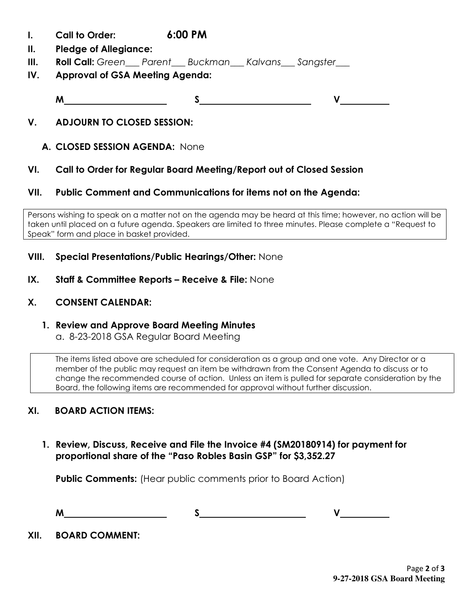- I. Call to Order: 6:00 PM
- II. Pledge of Allegiance:
- **III.** Roll Call: Green Parent Buckman Kalvans Sangster
- IV. Approval of GSA Meeting Agenda:

M S V

#### V. ADJOURN TO CLOSED SESSION:

#### A. CLOSED SESSION AGENDA: None

#### VI. Call to Order for Regular Board Meeting/Report out of Closed Session

#### VII. Public Comment and Communications for items not on the Agenda:

Persons wishing to speak on a matter not on the agenda may be heard at this time; however, no action will be taken until placed on a future agenda. Speakers are limited to three minutes. Please complete a "Request to Speak" form and place in basket provided.

#### VIII. Special Presentations/Public Hearings/Other: None

IX. Staff & Committee Reports - Receive & File: None

#### X. CONSENT CALENDAR:

## 1. Review and Approve Board Meeting Minutes

a. 8-23-2018 GSA Regular Board Meeting

The items listed above are scheduled for consideration as a group and one vote. Any Director or a member of the public may request an item be withdrawn from the Consent Agenda to discuss or to change the recommended course of action. Unless an item is pulled for separate consideration by the Board, the following items are recommended for approval without further discussion.

#### XI. BOARD ACTION ITEMS:

1. Review, Discuss, Receive and File the Invoice #4 (SM20180914) for payment for proportional share of the "Paso Robles Basin GSP" for \$3,352.27

**Public Comments:** (Hear public comments prior to Board Action)

M S V

XII. BOARD COMMENT: